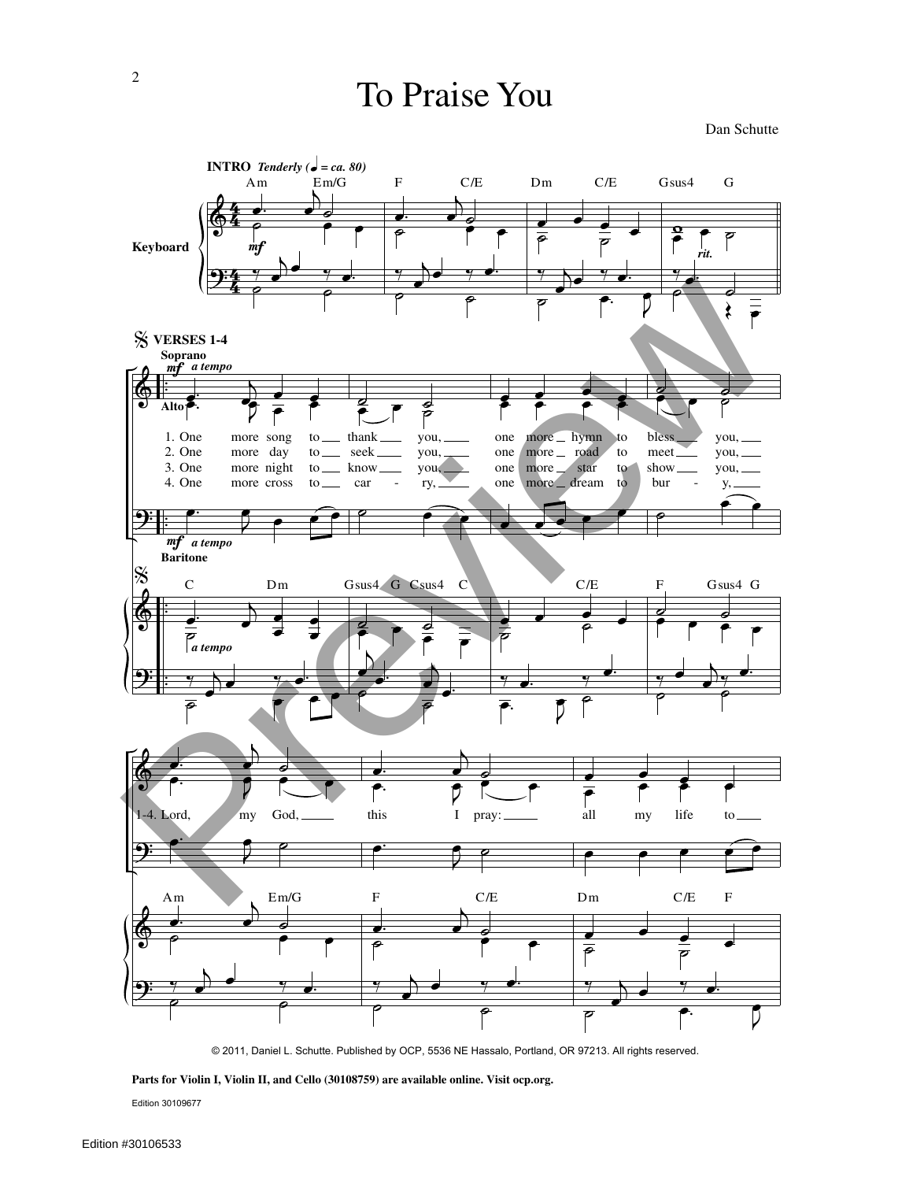Dan Schutte



© 2011, Daniel L. Schutte. Published by OCP, 5536 NE Hassalo, Portland, OR 97213. All rights reserved.

**Parts for Violin I, Violin II, and Cello (30108759) are available online. Visit ocp.org.**

Edition 30109677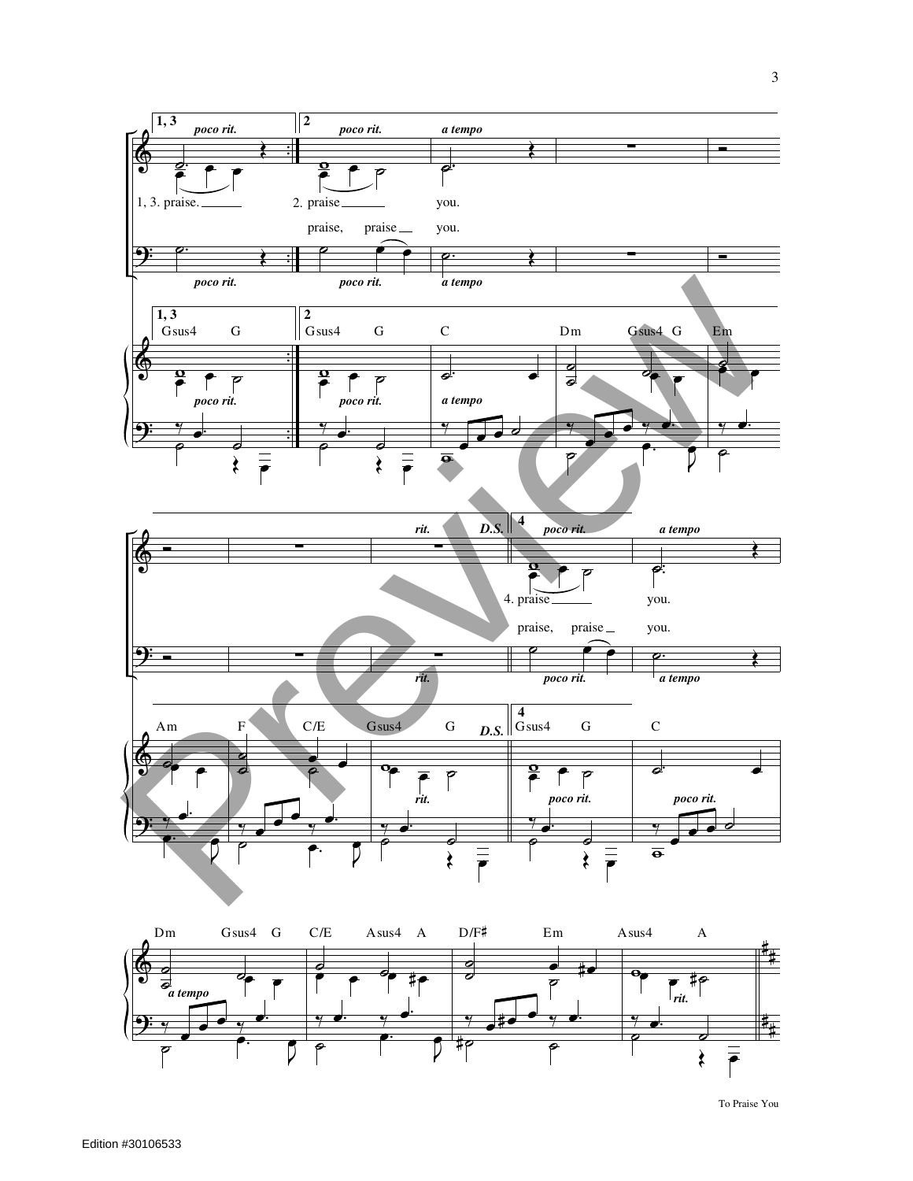

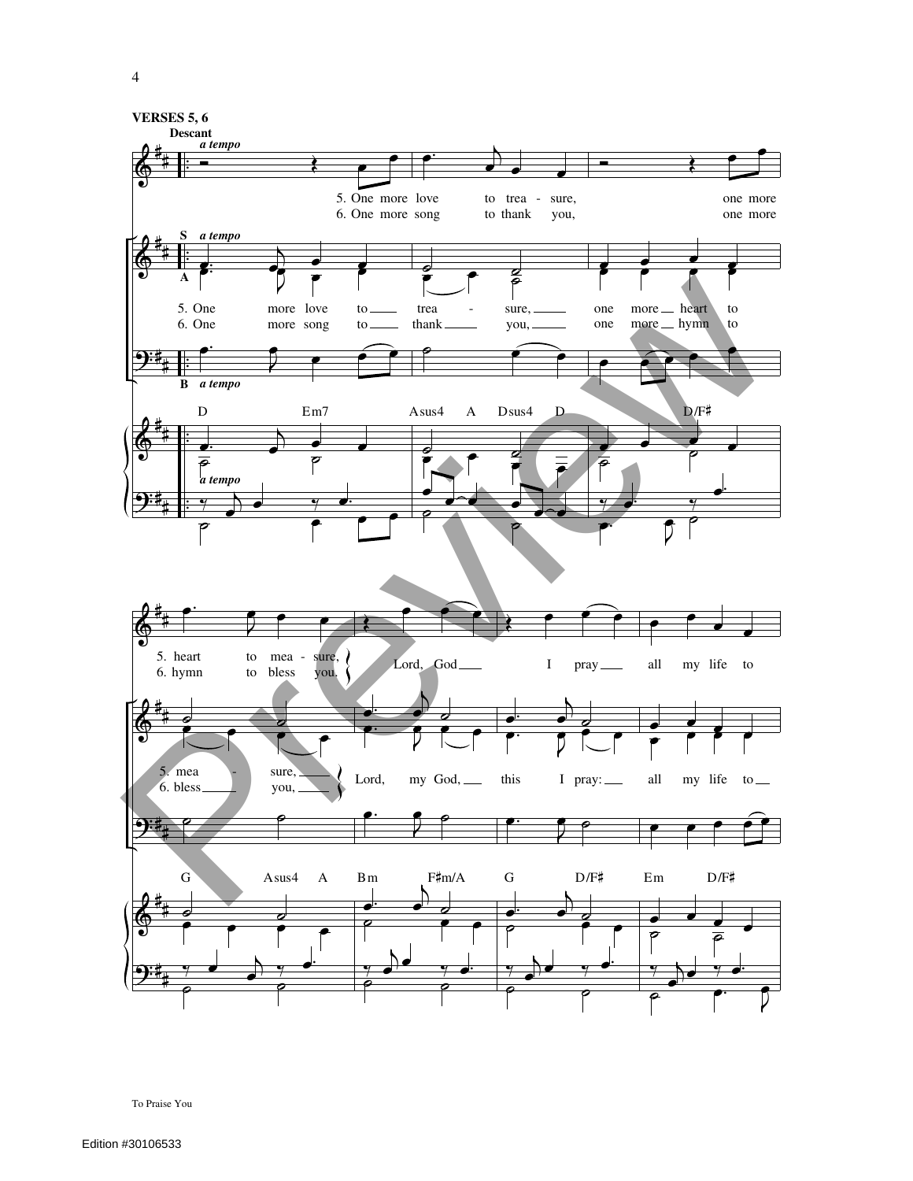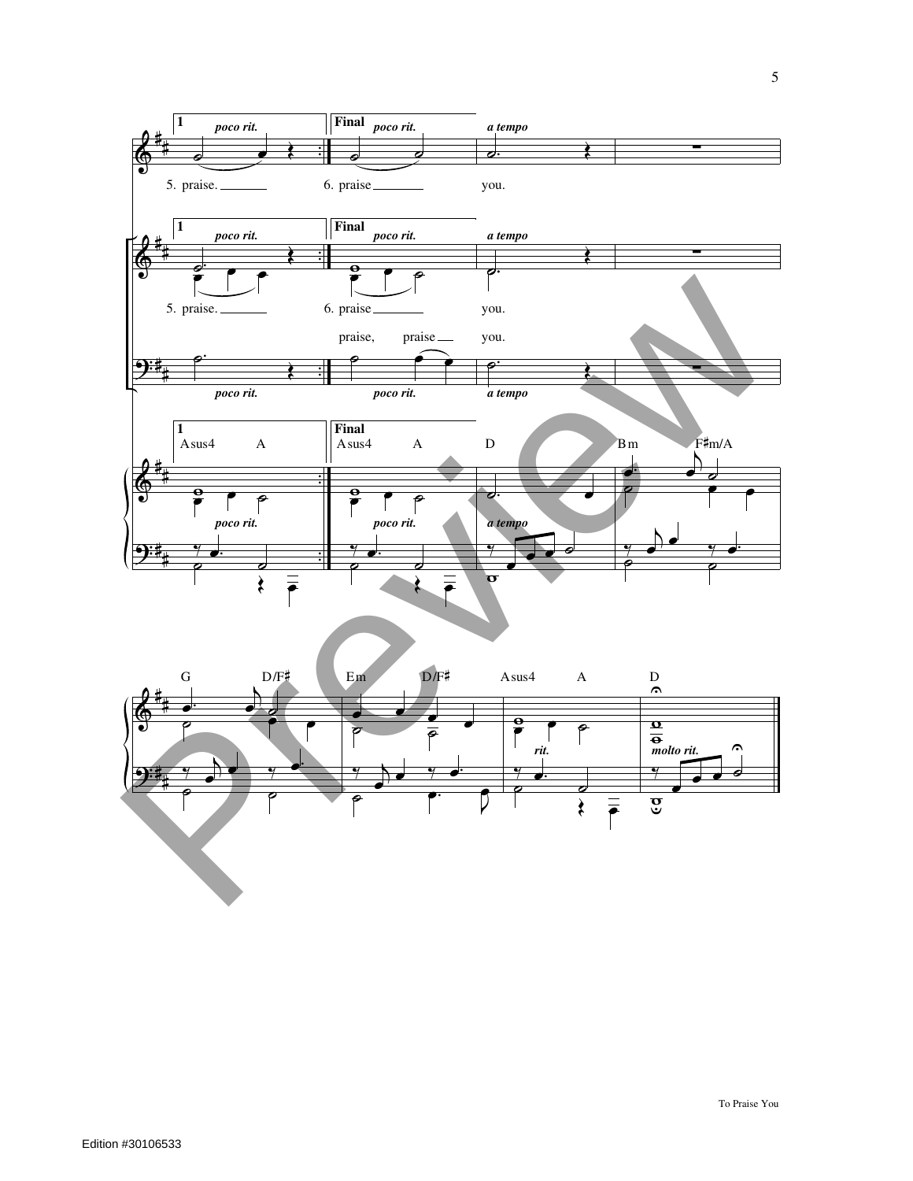

 $\overrightarrow{e}$   $\overrightarrow{e}$ 

œ

 $\frac{1}{2}$ 

 $\overline{\mathbf{e}}$ 

 $\frac{1}{\rho}$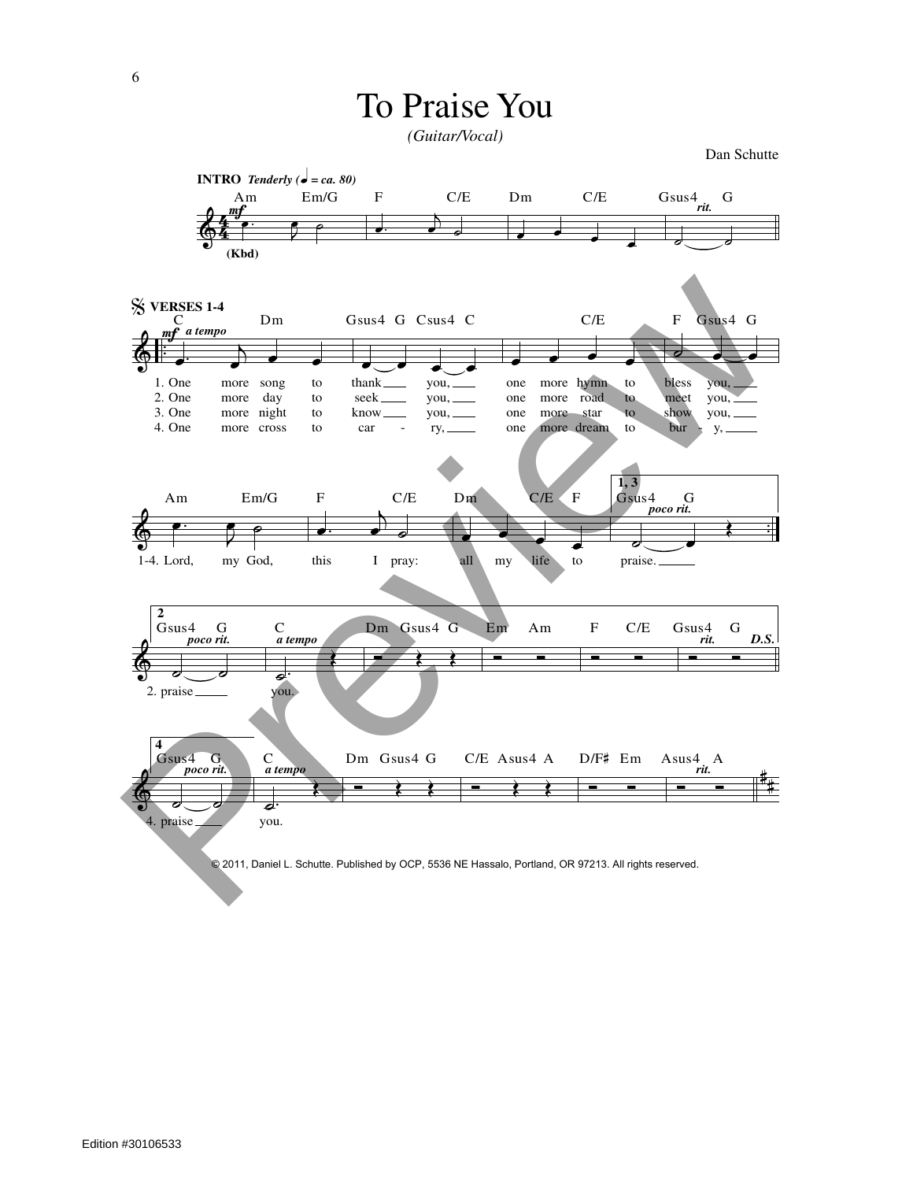*(Guitar/Vocal)*

Dan Schutte

© 2011, Daniel L. Schutte. Published by OCP, 5536 NE Hassalo, Portland, OR 97213. All rights reserved.  $\begin{array}{c} \sqrt{4}m & \\ \sqrt{4}m & \\ \sqrt{4}m & \\ \sqrt{4}m & \\ \sqrt{4}m & \\ \sqrt{4}m & \\ \sqrt{4}m & \\ \sqrt{4}m & \\ \sqrt{4}m & \\ \sqrt{4}m & \\ \sqrt{4}m & \\ \sqrt{4}m & \\ \sqrt{4}m & \\ \sqrt{4}m & \\ \sqrt{4}m & \\ \sqrt{4}m & \\ \sqrt{4}m & \\ \sqrt{4}m & \\ \sqrt{4}m & \\ \sqrt{4}m & \\ \sqrt{4}m & \\ \sqrt{4}m & \\ \sqrt{4}m & \\ \sqrt{4}m & \\ \sqrt{4}m & \\ \sqrt{4}m & \\ \sqrt{4}$  $\mathbf{e}$ Am Em/G **INTRO** *Tenderly* ( $\boldsymbol{\phi} = ca. 80$ ) **(Kbd)**  $\begin{array}{ccc} \n\frac{\pi}{f} & \text{p} & \text{p} & \text{p} & \text{p} \n\end{array}$  $\mathcal{L}_{s}$ F C/E  $\overrightarrow{e}$ Dm C/E ˙ ˙ Gsus4 G *rit.*  $\frac{2}{9}$  $\frac{log(1)}{e}$  $\begin{array}{ccc} \bullet & \bullet & \bullet \end{array}$ 1. One 2. One 3. One 4. One more song to more more night more cross day to to to **S VERSES 1-4** Dm F *a tempo* œ œ œ œ seek know car thank \_\_\_\_\_\_\_\_ you, \_ you, you, ry, Gsus4 G Csus4 C œ œ œ œ one one one one more hymn more road more star more dream to to to to C/E ˙ œ œ bless meet show bur you, you, you, y, F Gsus4 G  $\&$  .  $\int$  .  $\int$  .  $\int$  .  $\int$  .  $\int$  .  $\int$  .  $\int$  .  $\int$  .  $\int$  .  $\overrightarrow{p}$   $\overrightarrow{p}$   $\overrightarrow{p}$   $\overrightarrow{p}$   $\overrightarrow{p}$   $\overrightarrow{p}$   $\overrightarrow{p}$   $\overrightarrow{p}$   $\overrightarrow{p}$   $\overrightarrow{p}$   $\overrightarrow{p}$   $\overrightarrow{p}$   $\overrightarrow{p}$   $\overrightarrow{p}$   $\overrightarrow{p}$   $\overrightarrow{p}$   $\overrightarrow{p}$   $\overrightarrow{p}$   $\overrightarrow{p}$   $\overrightarrow{p}$   $\overrightarrow{p}$   $\overrightarrow{p}$   $\overrightarrow{p}$   $\overrightarrow{p}$   $\overrightarrow{$  $\mathbf{e}$ my God, Am Em/G 1-4. Lord,  $\cdot$   $\cdot$   $\cdot$  $\Gamma_{\circ}$ this I pray: F C/E e contract to the contract of the contract of the contract of the contract of the contract of the contract of the contract of the contract of the contract of the contract of the contract of the contract of the contract of Dm C/E F **1, 3**  $\overline{\phantom{a}}$ praise. Gsus4 G *poco rit.*  $\breve{\Phi}$ **2** 。<br>。<br>。 2. praise Gsus4 G *poco rit.*  $\overline{a}$ . you. C *a tempo*  $\overline{\phantom{a}}$ Dm Gsus4 G Ó<br>Ó Ó Ó Ó Em Am Ó<br>Ó Ó Ó Ó F C/E Ó<br>Ó Ó Ó Gsus<sub>4</sub> G *<i>D.S.*  $\ell$  $\overline{\mathbf{t}}$ **4**  $\overline{\phantom{a}}$ 4. praise Gsus4 G *poco rit.*  $\frac{1}{e}$ you. C *a tempo*  $\leftrightarrow$   $\rightarrow$ Dm Gsus4 G  $\leftrightarrow$   $\rightarrow$ C/E Asus4 A Ó Ó D/F# Em Ó Ó Asus4 A *rit.* SUPERFIST 14 Dm Gaust G Caust C<br>  $\frac{P}{Q}$ <br>  $\frac{P}{Q}$ <br>  $\frac{P}{Q}$ <br>  $\frac{P}{Q}$ <br>  $\frac{P}{Q}$ <br>  $\frac{P}{Q}$ <br>  $\frac{P}{Q}$ <br>  $\frac{P}{Q}$ <br>  $\frac{P}{Q}$ <br>  $\frac{P}{Q}$ <br>  $\frac{P}{Q}$ <br>  $\frac{P}{Q}$ <br>  $\frac{P}{Q}$ <br>  $\frac{P}{Q}$ <br>  $\frac{P}{Q}$ <br>  $\frac{P}{Q}$ <br>  $\frac{P}{Q}$ <br>

Edition #30106533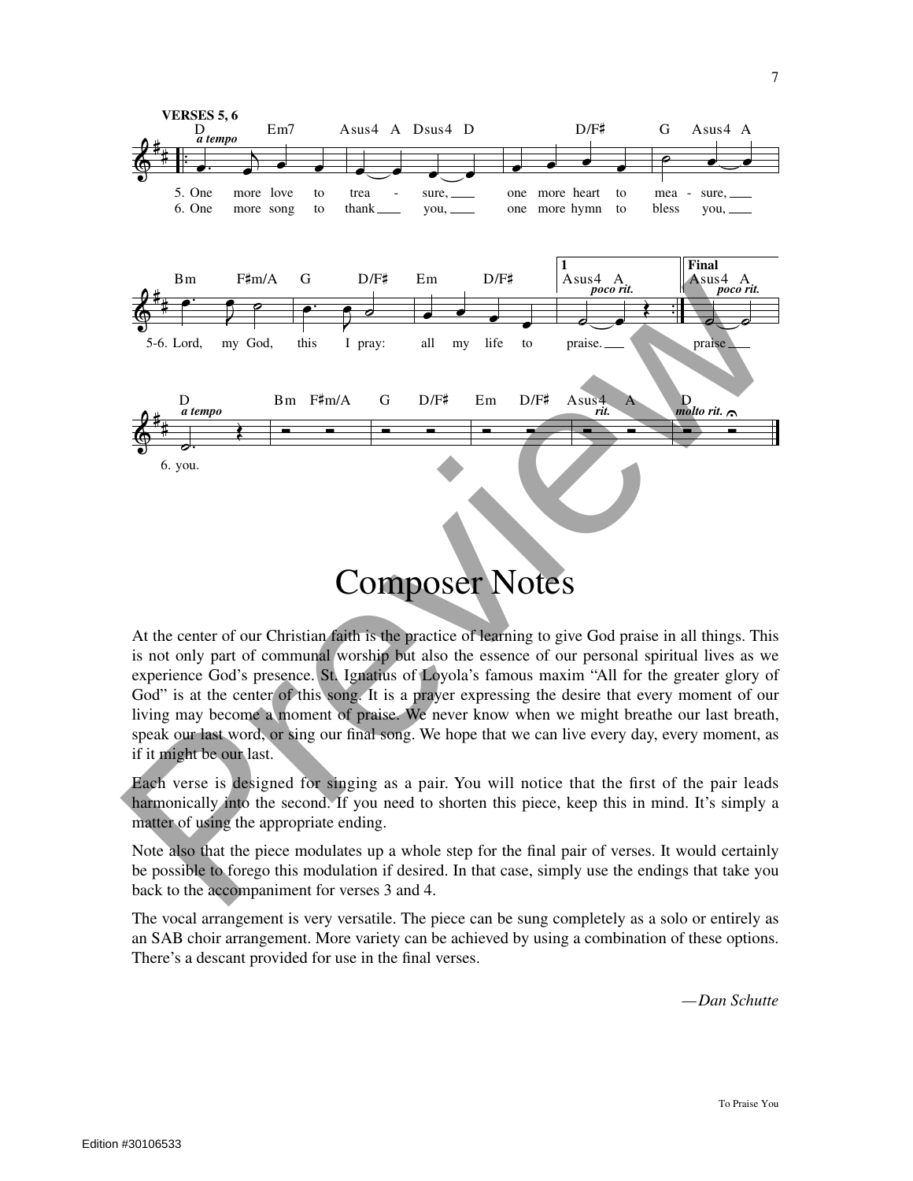

At the center of our Christian faith is the practice of learning to give God praise in all things. This is not only part of communal worship but also the essence of our personal spiritual lives as we experience God's presence. St. Ignatius of Loyola's famous maxim "All for the greater glory of God" is at the center of this song. It is a prayer expressing the desire that every moment of our living may become a moment of praise. We never know when we might breathe our last breath, speak our last word, or sing our final song. We hope that we can live every day, every moment, as if it might be our last.

Each verse is designed for singing as a pair. You will notice that the first of the pair leads harmonically into the second. If you need to shorten this piece, keep this in mind. It's simply a matter of using the appropriate ending.

Note also that the piece modulates up a whole step for the final pair of verses. It would certainly be possible to forego this modulation if desired. In that case, simply use the endings that take you back to the accompaniment for verses 3 and 4.

The vocal arrangement is very versatile. The piece can be sung completely as a solo or entirely as an SAB choir arrangement. More variety can be achieved by using a combination of these options. There's a descant provided for use in the final verses.

*—Dan Schutte*